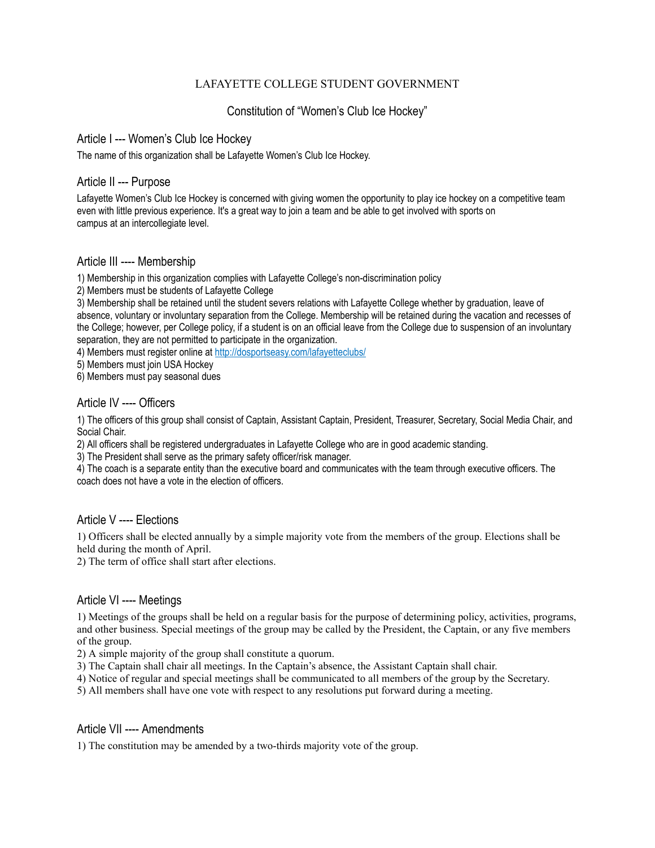## LAFAYETTE COLLEGE STUDENT GOVERNMENT

# Constitution of "Women's Club Ice Hockey"

### Article I --- Women's Club Ice Hockey

The name of this organization shall be Lafayette Women's Club Ice Hockey.

## Article II --- Purpose

Lafayette Women's Club Ice Hockey is concerned with giving women the opportunity to play ice hockey on a competitive team even with little previous experience. It's a great way to join a team and be able to get involved with sports on campus at an intercollegiate level.

## Article III ---- Membership

1) Membership in this organization complies with Lafayette College's non-discrimination policy

2) Members must be students of Lafayette College

3) Membership shall be retained until the student severs relations with Lafayette College whether by graduation, leave of absence, voluntary or involuntary separation from the College. Membership will be retained during the vacation and recesses of the College; however, per College policy, if a student is on an official leave from the College due to suspension of an involuntary separation, they are not permitted to participate in the organization.

4) Members must register online at <http://dosportseasy.com/lafayetteclubs/>

5) Members must join USA Hockey

6) Members must pay seasonal dues

## Article IV ---- Officers

1) The officers of this group shall consist of Captain, Assistant Captain, President, Treasurer, Secretary, Social Media Chair, and Social Chair.

2) All officers shall be registered undergraduates in Lafayette College who are in good academic standing.

3) The President shall serve as the primary safety officer/risk manager.

4) The coach is a separate entity than the executive board and communicates with the team through executive officers. The coach does not have a vote in the election of officers.

### Article V ---- Elections

1) Officers shall be elected annually by a simple majority vote from the members of the group. Elections shall be held during the month of April.

2) The term of office shall start after elections.

### Article VI ---- Meetings

1) Meetings of the groups shall be held on a regular basis for the purpose of determining policy, activities, programs, and other business. Special meetings of the group may be called by the President, the Captain, or any five members of the group.

2) A simple majority of the group shall constitute a quorum.

3) The Captain shall chair all meetings. In the Captain's absence, the Assistant Captain shall chair.

4) Notice of regular and special meetings shall be communicated to all members of the group by the Secretary.

5) All members shall have one vote with respect to any resolutions put forward during a meeting.

## Article VII ---- Amendments

1) The constitution may be amended by a two-thirds majority vote of the group.